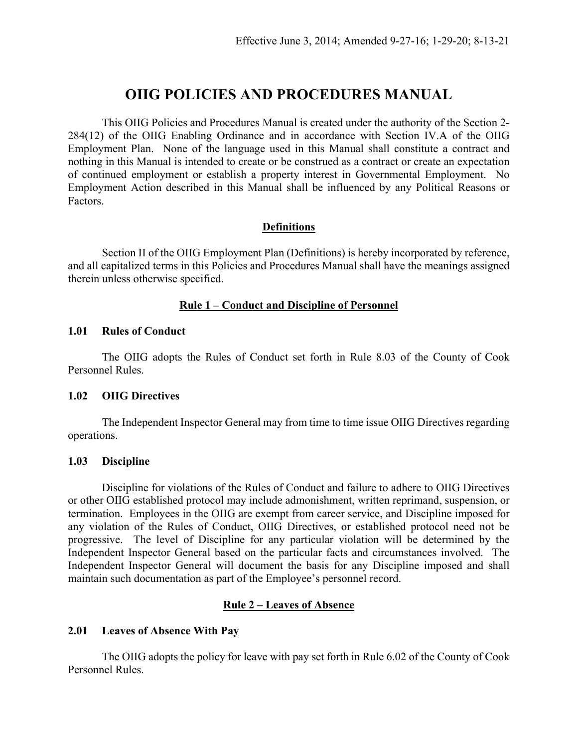# **OIIG POLICIES AND PROCEDURES MANUAL**

This OIIG Policies and Procedures Manual is created under the authority of the Section 2- 284(12) of the OIIG Enabling Ordinance and in accordance with Section IV.A of the OIIG Employment Plan. None of the language used in this Manual shall constitute a contract and nothing in this Manual is intended to create or be construed as a contract or create an expectation of continued employment or establish a property interest in Governmental Employment. No Employment Action described in this Manual shall be influenced by any Political Reasons or Factors.

## **Definitions**

Section II of the OIIG Employment Plan (Definitions) is hereby incorporated by reference, and all capitalized terms in this Policies and Procedures Manual shall have the meanings assigned therein unless otherwise specified.

## **Rule 1 – Conduct and Discipline of Personnel**

## **1.01 Rules of Conduct**

The OIIG adopts the Rules of Conduct set forth in Rule 8.03 of the County of Cook Personnel Rules.

## **1.02 OIIG Directives**

The Independent Inspector General may from time to time issue OIIG Directives regarding operations.

## **1.03 Discipline**

Discipline for violations of the Rules of Conduct and failure to adhere to OIIG Directives or other OIIG established protocol may include admonishment, written reprimand, suspension, or termination. Employees in the OIIG are exempt from career service, and Discipline imposed for any violation of the Rules of Conduct, OIIG Directives, or established protocol need not be progressive. The level of Discipline for any particular violation will be determined by the Independent Inspector General based on the particular facts and circumstances involved. The Independent Inspector General will document the basis for any Discipline imposed and shall maintain such documentation as part of the Employee's personnel record.

## **Rule 2 – Leaves of Absence**

## **2.01 Leaves of Absence With Pay**

The OIIG adopts the policy for leave with pay set forth in Rule 6.02 of the County of Cook Personnel Rules.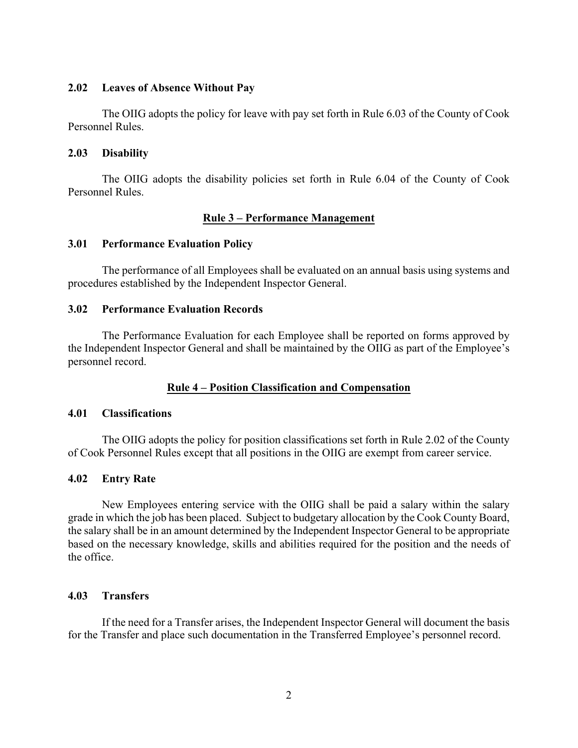## **2.02 Leaves of Absence Without Pay**

The OIIG adopts the policy for leave with pay set forth in Rule 6.03 of the County of Cook Personnel Rules.

#### **2.03 Disability**

The OIIG adopts the disability policies set forth in Rule 6.04 of the County of Cook Personnel Rules.

## **Rule 3 – Performance Management**

## **3.01 Performance Evaluation Policy**

The performance of all Employees shall be evaluated on an annual basis using systems and procedures established by the Independent Inspector General.

#### **3.02 Performance Evaluation Records**

The Performance Evaluation for each Employee shall be reported on forms approved by the Independent Inspector General and shall be maintained by the OIIG as part of the Employee's personnel record.

## **Rule 4 – Position Classification and Compensation**

## **4.01 Classifications**

The OIIG adopts the policy for position classifications set forth in Rule 2.02 of the County of Cook Personnel Rules except that all positions in the OIIG are exempt from career service.

## **4.02 Entry Rate**

New Employees entering service with the OIIG shall be paid a salary within the salary grade in which the job has been placed. Subject to budgetary allocation by the Cook County Board, the salary shall be in an amount determined by the Independent Inspector General to be appropriate based on the necessary knowledge, skills and abilities required for the position and the needs of the office.

## **4.03 Transfers**

If the need for a Transfer arises, the Independent Inspector General will document the basis for the Transfer and place such documentation in the Transferred Employee's personnel record.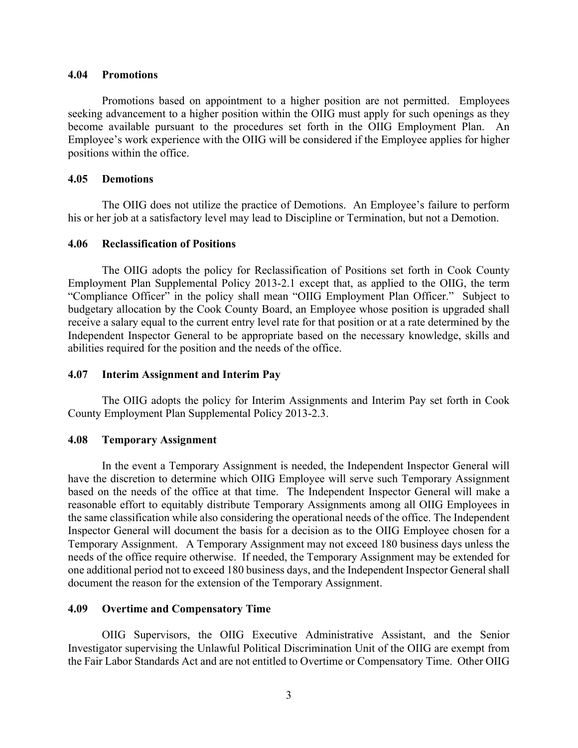#### **4.04 Promotions**

Promotions based on appointment to a higher position are not permitted. Employees seeking advancement to a higher position within the OIIG must apply for such openings as they become available pursuant to the procedures set forth in the OIIG Employment Plan. An Employee's work experience with the OIIG will be considered if the Employee applies for higher positions within the office.

#### **4.05 Demotions**

The OIIG does not utilize the practice of Demotions. An Employee's failure to perform his or her job at a satisfactory level may lead to Discipline or Termination, but not a Demotion.

#### **4.06 Reclassification of Positions**

The OIIG adopts the policy for Reclassification of Positions set forth in Cook County Employment Plan Supplemental Policy 2013-2.1 except that, as applied to the OIIG, the term "Compliance Officer" in the policy shall mean "OIIG Employment Plan Officer." Subject to budgetary allocation by the Cook County Board, an Employee whose position is upgraded shall receive a salary equal to the current entry level rate for that position or at a rate determined by the Independent Inspector General to be appropriate based on the necessary knowledge, skills and abilities required for the position and the needs of the office.

#### **4.07 Interim Assignment and Interim Pay**

The OIIG adopts the policy for Interim Assignments and Interim Pay set forth in Cook County Employment Plan Supplemental Policy 2013-2.3.

#### **4.08 Temporary Assignment**

In the event a Temporary Assignment is needed, the Independent Inspector General will have the discretion to determine which OIIG Employee will serve such Temporary Assignment based on the needs of the office at that time. The Independent Inspector General will make a reasonable effort to equitably distribute Temporary Assignments among all OIIG Employees in the same classification while also considering the operational needs of the office. The Independent Inspector General will document the basis for a decision as to the OIIG Employee chosen for a Temporary Assignment. A Temporary Assignment may not exceed 180 business days unless the needs of the office require otherwise. If needed, the Temporary Assignment may be extended for one additional period not to exceed 180 business days, and the Independent Inspector General shall document the reason for the extension of the Temporary Assignment.

#### **4.09 Overtime and Compensatory Time**

OIIG Supervisors, the OIIG Executive Administrative Assistant, and the Senior Investigator supervising the Unlawful Political Discrimination Unit of the OIIG are exempt from the Fair Labor Standards Act and are not entitled to Overtime or Compensatory Time. Other OIIG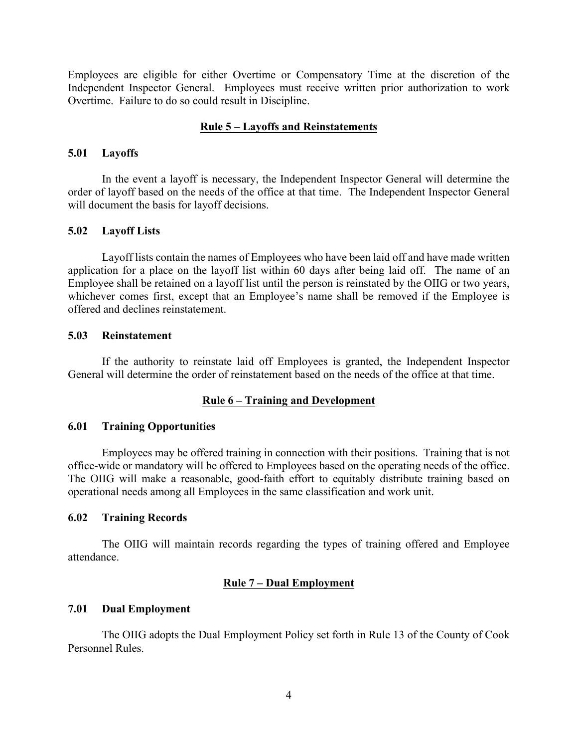Employees are eligible for either Overtime or Compensatory Time at the discretion of the Independent Inspector General. Employees must receive written prior authorization to work Overtime. Failure to do so could result in Discipline.

## **Rule 5 – Layoffs and Reinstatements**

### **5.01 Layoffs**

In the event a layoff is necessary, the Independent Inspector General will determine the order of layoff based on the needs of the office at that time. The Independent Inspector General will document the basis for layoff decisions.

## **5.02 Layoff Lists**

Layoff lists contain the names of Employees who have been laid off and have made written application for a place on the layoff list within 60 days after being laid off. The name of an Employee shall be retained on a layoff list until the person is reinstated by the OIIG or two years, whichever comes first, except that an Employee's name shall be removed if the Employee is offered and declines reinstatement.

#### **5.03 Reinstatement**

If the authority to reinstate laid off Employees is granted, the Independent Inspector General will determine the order of reinstatement based on the needs of the office at that time.

## **Rule 6 – Training and Development**

## **6.01 Training Opportunities**

Employees may be offered training in connection with their positions. Training that is not office-wide or mandatory will be offered to Employees based on the operating needs of the office. The OIIG will make a reasonable, good-faith effort to equitably distribute training based on operational needs among all Employees in the same classification and work unit.

## **6.02 Training Records**

The OIIG will maintain records regarding the types of training offered and Employee attendance.

## **Rule 7 – Dual Employment**

## **7.01 Dual Employment**

The OIIG adopts the Dual Employment Policy set forth in Rule 13 of the County of Cook Personnel Rules.